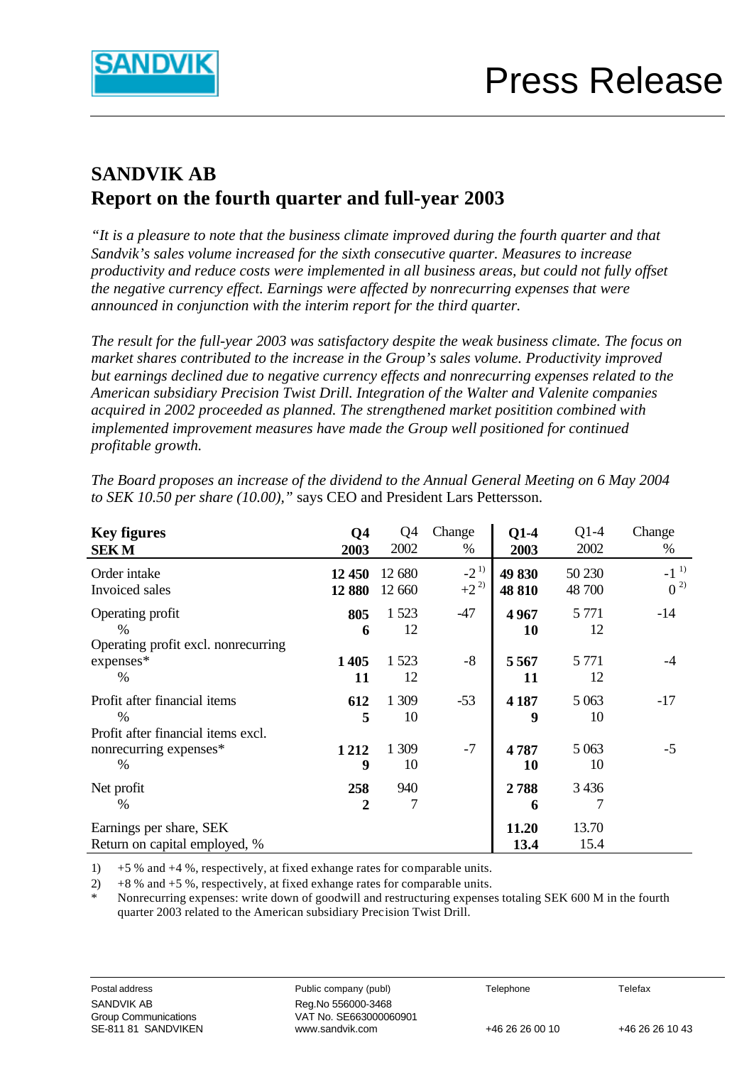

# **SANDVIK AB Report on the fourth quarter and full-year 2003**

*"It is a pleasure to note that the business climate improved during the fourth quarter and that Sandvik's sales volume increased for the sixth consecutive quarter. Measures to increase productivity and reduce costs were implemented in all business areas, but could not fully offset the negative currency effect. Earnings were affected by nonrecurring expenses that were announced in conjunction with the interim report for the third quarter.*

*The result for the full-year 2003 was satisfactory despite the weak business climate. The focus on market shares contributed to the increase in the Group's sales volume. Productivity improved but earnings declined due to negative currency effects and nonrecurring expenses related to the American subsidiary Precision Twist Drill. Integration of the Walter and Valenite companies acquired in 2002 proceeded as planned. The strengthened market positition combined with implemented improvement measures have made the Group well positioned for continued profitable growth.*

| <b>Key figures</b><br><b>SEKM</b>                                                   | Q <sub>4</sub><br>2003 | Q <sub>4</sub><br>2002 | Change<br>%          | $Q1-4$<br>2003   | $Q1-4$<br>2002   | Change<br>%                   |
|-------------------------------------------------------------------------------------|------------------------|------------------------|----------------------|------------------|------------------|-------------------------------|
| Order intake<br>Invoiced sales                                                      | 12 450<br>12 880       | 12 680<br>12 660       | $-2^{1}$<br>$+2^{2}$ | 49 830<br>48 810 | 50 230<br>48 700 | $-1$ <sup>1)</sup><br>$0^{2}$ |
| Operating profit<br>$\%$<br>Operating profit excl. nonrecurring                     | 805<br>6               | 1523<br>12             | $-47$                | 4967<br>10       | 5 7 7 1<br>12    | $-14$                         |
| expenses*<br>$\%$                                                                   | 1405<br>11             | 1523<br>12             | $-8$                 | 5567<br>11       | 5 7 7 1<br>12    | -4                            |
| Profit after financial items<br>$\frac{0}{0}$<br>Profit after financial items excl. | 612<br>5               | 1 309<br>10            | $-53$                | 4 1 8 7<br>9     | 5 0 63<br>10     | $-17$                         |
| nonrecurring expenses*<br>$\%$                                                      | 1212<br>9              | 1 309<br>10            | $-7$                 | 4787<br>10       | 5 0 63<br>10     | $-5$                          |
| Net profit<br>%                                                                     | 258<br>2               | 940<br>7               |                      | 2788<br>6        | 3 4 3 6<br>7     |                               |
| Earnings per share, SEK<br>Return on capital employed, %                            |                        |                        |                      | 11.20<br>13.4    | 13.70<br>15.4    |                               |

*The Board proposes an increase of the dividend to the Annual General Meeting on 6 May 2004 to SEK 10.50 per share (10.00),"* says CEO and President Lars Pettersson.

1) +5 % and +4 %, respectively, at fixed exhange rates for comparable units.

2)  $+8\%$  and  $+5\%$ , respectively, at fixed exhange rates for comparable units.

Nonrecurring expenses: write down of goodwill and restructuring expenses totaling SEK 600 M in the fourth quarter 2003 related to the American subsidiary Precision Twist Drill.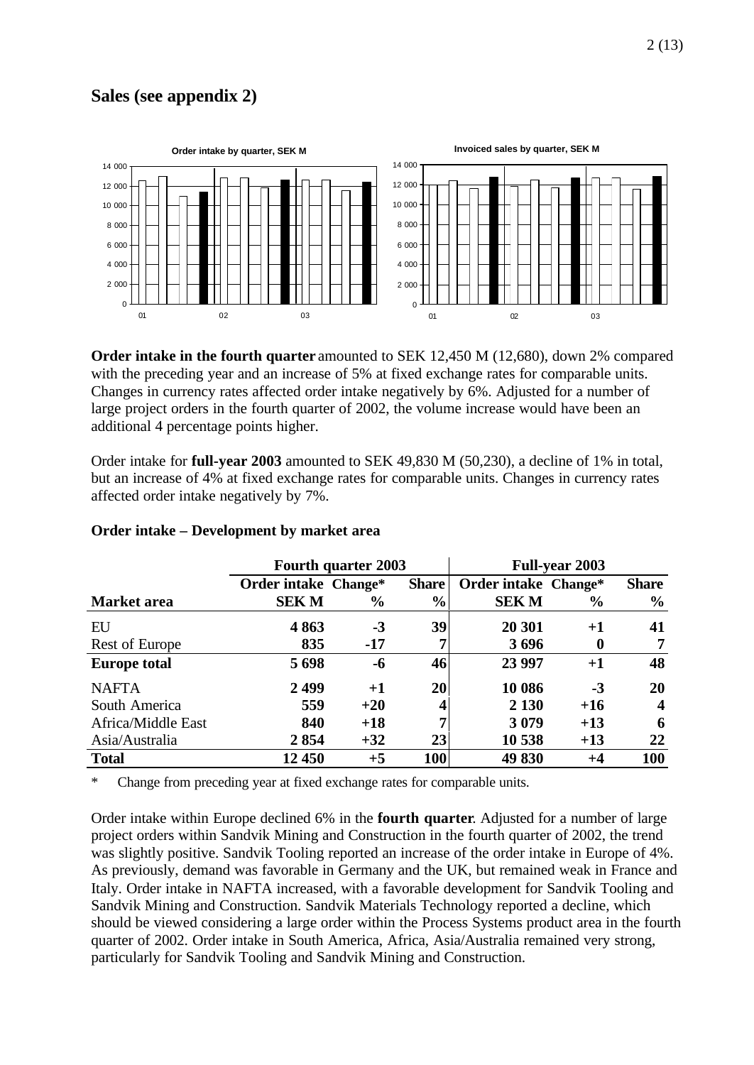### **Sales (see appendix 2)**



**Order intake in the fourth quarter** amounted to SEK 12,450 M (12,680), down 2% compared with the preceding year and an increase of 5% at fixed exchange rates for comparable units. Changes in currency rates affected order intake negatively by 6%. Adjusted for a number of large project orders in the fourth quarter of 2002, the volume increase would have been an additional 4 percentage points higher.

Order intake for **full-year 2003** amounted to SEK 49,830 M (50,230), a decline of 1% in total, but an increase of 4% at fixed exchange rates for comparable units. Changes in currency rates affected order intake negatively by 7%.

|                     | <b>Fourth quarter 2003</b> |       |               | <b>Full-year 2003</b> |               |                  |
|---------------------|----------------------------|-------|---------------|-----------------------|---------------|------------------|
|                     | Order intake Change*       |       | <b>Share</b>  | Order intake Change*  |               | <b>Share</b>     |
| Market area         | <b>SEKM</b>                | $\%$  | $\frac{0}{0}$ | <b>SEKM</b>           | $\frac{6}{9}$ | $\frac{0}{0}$    |
| EU                  | 4863                       | $-3$  | 39            | 20 301                | $+1$          | 41               |
| Rest of Europe      | 835                        | $-17$ |               | 3696                  | $\mathbf 0$   | 7                |
| <b>Europe total</b> | 5698                       | $-6$  | 46            | 23 997                | $+1$          | 48               |
| <b>NAFTA</b>        | 2499                       | $+1$  | <b>20</b>     | 10 086                | $-3$          | 20               |
| South America       | 559                        | $+20$ |               | 2 1 3 0               | $+16$         | $\boldsymbol{4}$ |
| Africa/Middle East  | 840                        | $+18$ | 7             | 3079                  | $+13$         | 6                |
| Asia/Australia      | 2854                       | $+32$ | 23            | 10 538                | $+13$         | 22               |
| <b>Total</b>        | 12 450                     | $+5$  | <b>100</b>    | 49 830                | +4            | 100              |

#### **Order intake – Development by market area**

\* Change from preceding year at fixed exchange rates for comparable units.

Order intake within Europe declined 6% in the **fourth quarter**. Adjusted for a number of large project orders within Sandvik Mining and Construction in the fourth quarter of 2002, the trend was slightly positive. Sandvik Tooling reported an increase of the order intake in Europe of 4%. As previously, demand was favorable in Germany and the UK, but remained weak in France and Italy. Order intake in NAFTA increased, with a favorable development for Sandvik Tooling and Sandvik Mining and Construction. Sandvik Materials Technology reported a decline, which should be viewed considering a large order within the Process Systems product area in the fourth quarter of 2002. Order intake in South America, Africa, Asia/Australia remained very strong, particularly for Sandvik Tooling and Sandvik Mining and Construction.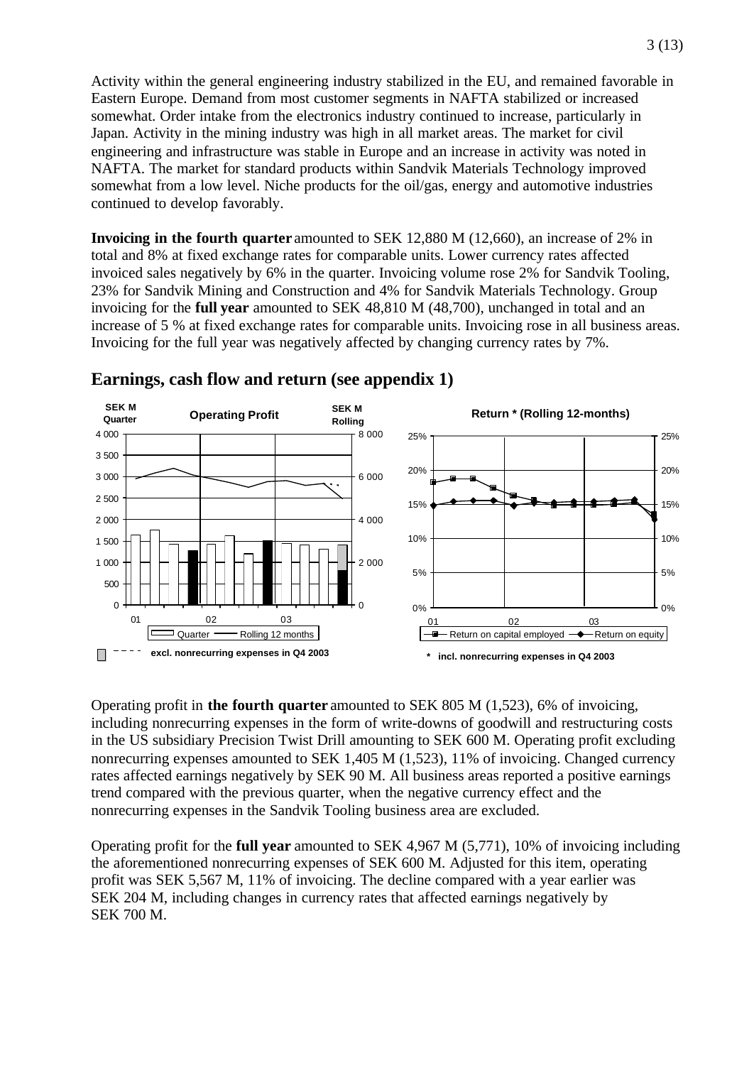Activity within the general engineering industry stabilized in the EU, and remained favorable in Eastern Europe. Demand from most customer segments in NAFTA stabilized or increased somewhat. Order intake from the electronics industry continued to increase, particularly in Japan. Activity in the mining industry was high in all market areas. The market for civil engineering and infrastructure was stable in Europe and an increase in activity was noted in NAFTA. The market for standard products within Sandvik Materials Technology improved somewhat from a low level. Niche products for the oil/gas, energy and automotive industries continued to develop favorably.

**Invoicing in the fourth quarter** amounted to SEK 12,880 M (12,660), an increase of 2% in total and 8% at fixed exchange rates for comparable units. Lower currency rates affected invoiced sales negatively by 6% in the quarter. Invoicing volume rose 2% for Sandvik Tooling, 23% for Sandvik Mining and Construction and 4% for Sandvik Materials Technology. Group invoicing for the **full year** amounted to SEK 48,810 M (48,700), unchanged in total and an increase of 5 % at fixed exchange rates for comparable units. Invoicing rose in all business areas. Invoicing for the full year was negatively affected by changing currency rates by 7%.



#### **Earnings, cash flow and return (see appendix 1)**

Operating profit in **the fourth quarter** amounted to SEK 805 M (1,523), 6% of invoicing, including nonrecurring expenses in the form of write-downs of goodwill and restructuring costs in the US subsidiary Precision Twist Drill amounting to SEK 600 M. Operating profit excluding nonrecurring expenses amounted to SEK 1,405 M (1,523), 11% of invoicing. Changed currency rates affected earnings negatively by SEK 90 M. All business areas reported a positive earnings trend compared with the previous quarter, when the negative currency effect and the nonrecurring expenses in the Sandvik Tooling business area are excluded.

Operating profit for the **full year** amounted to SEK 4,967 M (5,771), 10% of invoicing including the aforementioned nonrecurring expenses of SEK 600 M. Adjusted for this item, operating profit was SEK 5,567 M, 11% of invoicing. The decline compared with a year earlier was SEK 204 M, including changes in currency rates that affected earnings negatively by SEK 700 M.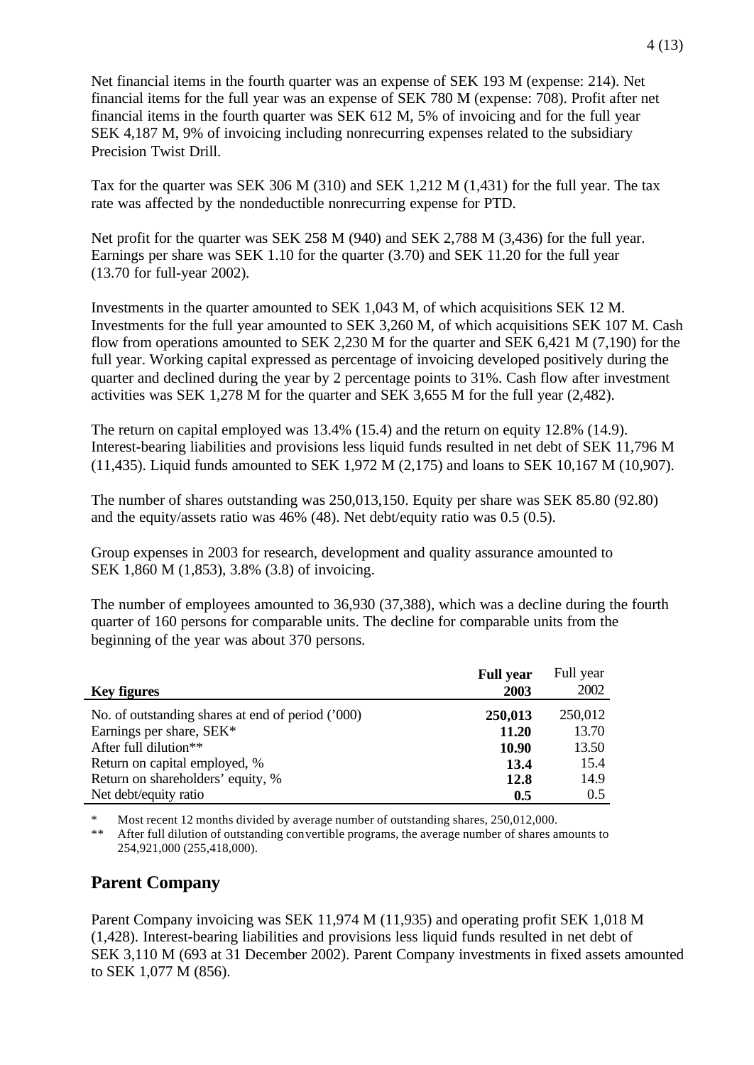Net financial items in the fourth quarter was an expense of SEK 193 M (expense: 214). Net financial items for the full year was an expense of SEK 780 M (expense: 708). Profit after net financial items in the fourth quarter was SEK 612 M, 5% of invoicing and for the full year SEK 4,187 M, 9% of invoicing including nonrecurring expenses related to the subsidiary Precision Twist Drill.

Tax for the quarter was SEK 306 M (310) and SEK 1,212 M (1,431) for the full year. The tax rate was affected by the nondeductible nonrecurring expense for PTD.

Net profit for the quarter was SEK 258 M (940) and SEK 2,788 M (3,436) for the full year. Earnings per share was SEK 1.10 for the quarter (3.70) and SEK 11.20 for the full year (13.70 for full-year 2002).

Investments in the quarter amounted to SEK 1,043 M, of which acquisitions SEK 12 M. Investments for the full year amounted to SEK 3,260 M, of which acquisitions SEK 107 M. Cash flow from operations amounted to SEK 2,230 M for the quarter and SEK 6,421 M (7,190) for the full year. Working capital expressed as percentage of invoicing developed positively during the quarter and declined during the year by 2 percentage points to 31%. Cash flow after investment activities was SEK 1,278 M for the quarter and SEK 3,655 M for the full year (2,482).

The return on capital employed was 13.4% (15.4) and the return on equity 12.8% (14.9). Interest-bearing liabilities and provisions less liquid funds resulted in net debt of SEK 11,796 M (11,435). Liquid funds amounted to SEK 1,972 M (2,175) and loans to SEK 10,167 M (10,907).

The number of shares outstanding was 250,013,150. Equity per share was SEK 85.80 (92.80) and the equity/assets ratio was 46% (48). Net debt/equity ratio was 0.5 (0.5).

Group expenses in 2003 for research, development and quality assurance amounted to SEK 1,860 M (1,853), 3.8% (3.8) of invoicing.

The number of employees amounted to 36,930 (37,388), which was a decline during the fourth quarter of 160 persons for comparable units. The decline for comparable units from the beginning of the year was about 370 persons.

|                                                   | <b>Full year</b> | Full year |
|---------------------------------------------------|------------------|-----------|
| <b>Key figures</b>                                | 2003             | 2002      |
| No. of outstanding shares at end of period ('000) | 250,013          | 250,012   |
| Earnings per share, SEK*                          | 11.20            | 13.70     |
| After full dilution**                             | 10.90            | 13.50     |
| Return on capital employed, %                     | 13.4             | 15.4      |
| Return on shareholders' equity, %                 | 12.8             | 14.9      |
| Net debt/equity ratio                             | 0.5              | 0.5       |

\* Most recent 12 months divided by average number of outstanding shares, 250,012,000.<br>\*\* After full dilution of outstanding convertible programs, the average number of shares a

After full dilution of outstanding convertible programs, the average number of shares amounts to 254,921,000 (255,418,000).

#### **Parent Company**

Parent Company invoicing was SEK 11,974 M (11,935) and operating profit SEK 1,018 M (1,428). Interest-bearing liabilities and provisions less liquid funds resulted in net debt of SEK 3,110 M (693 at 31 December 2002). Parent Company investments in fixed assets amounted to SEK 1,077 M (856).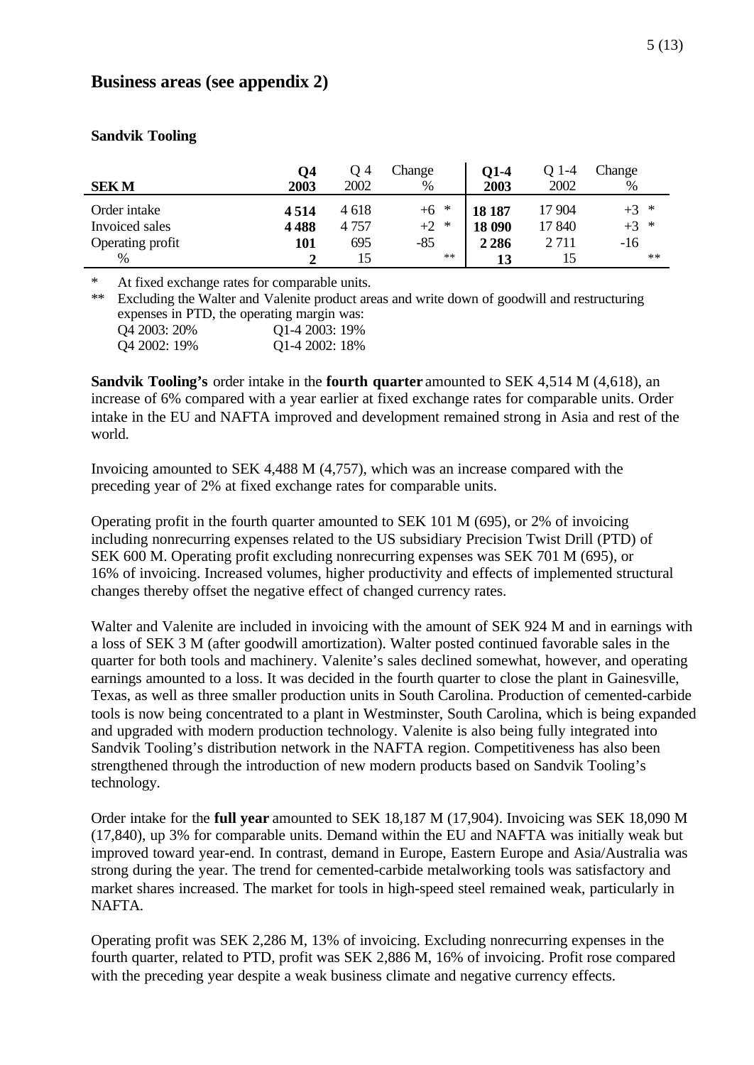#### **Business areas (see appendix 2)**

|                  | $\overline{Q}$ 4 | O 4   | Change | 01-4    | O 1-4   | Change |
|------------------|------------------|-------|--------|---------|---------|--------|
| <b>SEKM</b>      | 2003             | 2002  | $\%$   | 2003    | 2002    | $\%$   |
| Order intake     | 4514             | 4 618 | $+6$ * | 18 187  | 17 904  | $+3$ * |
| Invoiced sales   | 4488             | 4757  | $+2$ * | 18 090  | 17 840  | $+3$ * |
| Operating profit | 101              | 695   | $-85$  | 2 2 8 6 | 2 7 1 1 | $-16$  |
| %                |                  | 15    | $**$   | 13      | 15      | $**$   |

#### **Sandvik Tooling**

At fixed exchange rates for comparable units.

\*\* Excluding the Walter and Valenite product areas and write down of goodwill and restructuring expenses in PTD, the operating margin was: Q4 2003: 20% Q1-4 2003: 19%

Q4 2002: 19% Q1-4 2002: 18%

**Sandvik Tooling's** order intake in the **fourth quarter** amounted to SEK 4,514 M (4,618), an increase of 6% compared with a year earlier at fixed exchange rates for comparable units. Order intake in the EU and NAFTA improved and development remained strong in Asia and rest of the world.

Invoicing amounted to SEK 4,488 M (4,757), which was an increase compared with the preceding year of 2% at fixed exchange rates for comparable units.

Operating profit in the fourth quarter amounted to SEK 101 M (695), or 2% of invoicing including nonrecurring expenses related to the US subsidiary Precision Twist Drill (PTD) of SEK 600 M. Operating profit excluding nonrecurring expenses was SEK 701 M (695), or 16% of invoicing. Increased volumes, higher productivity and effects of implemented structural changes thereby offset the negative effect of changed currency rates.

Walter and Valenite are included in invoicing with the amount of SEK 924 M and in earnings with a loss of SEK 3 M (after goodwill amortization). Walter posted continued favorable sales in the quarter for both tools and machinery. Valenite's sales declined somewhat, however, and operating earnings amounted to a loss. It was decided in the fourth quarter to close the plant in Gainesville, Texas, as well as three smaller production units in South Carolina. Production of cemented-carbide tools is now being concentrated to a plant in Westminster, South Carolina, which is being expanded and upgraded with modern production technology. Valenite is also being fully integrated into Sandvik Tooling's distribution network in the NAFTA region. Competitiveness has also been strengthened through the introduction of new modern products based on Sandvik Tooling's technology.

Order intake for the **full year** amounted to SEK 18,187 M (17,904). Invoicing was SEK 18,090 M (17,840), up 3% for comparable units. Demand within the EU and NAFTA was initially weak but improved toward year-end. In contrast, demand in Europe, Eastern Europe and Asia/Australia was strong during the year. The trend for cemented-carbide metalworking tools was satisfactory and market shares increased. The market for tools in high-speed steel remained weak, particularly in NAFTA.

Operating profit was SEK 2,286 M, 13% of invoicing. Excluding nonrecurring expenses in the fourth quarter, related to PTD, profit was SEK 2,886 M, 16% of invoicing. Profit rose compared with the preceding year despite a weak business climate and negative currency effects.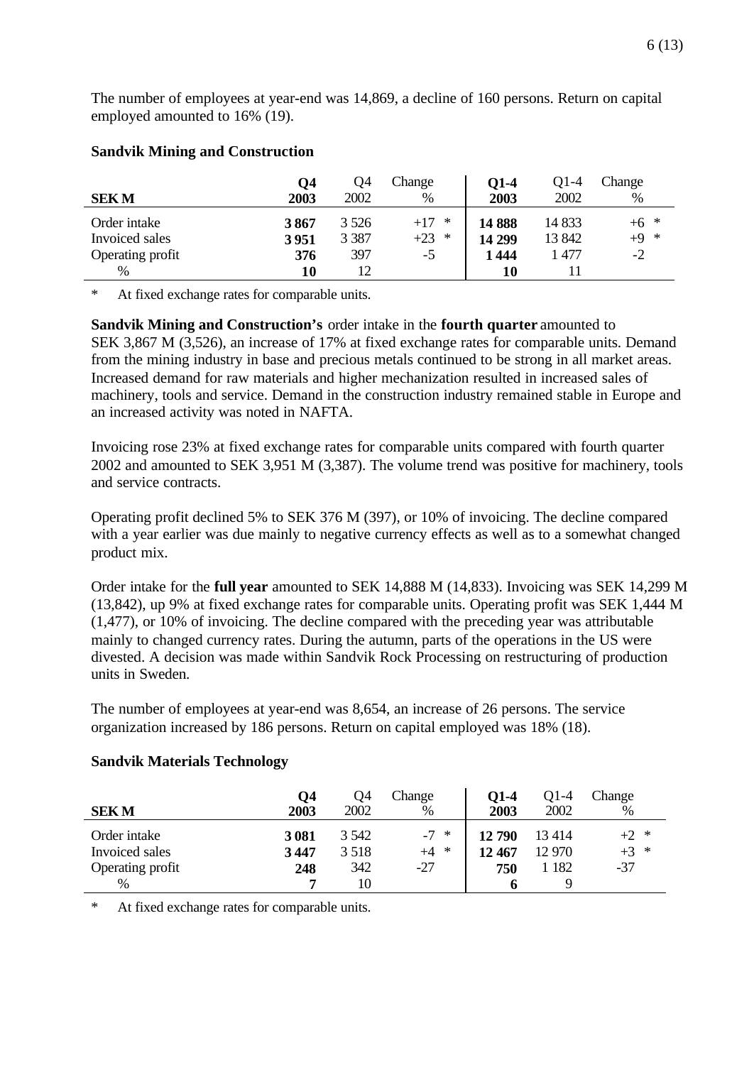The number of employees at year-end was 14,869, a decline of 160 persons. Return on capital employed amounted to 16% (19).

| <b>Sandvik Mining and Construction</b> |  |
|----------------------------------------|--|
|                                        |  |

|                  | O4   | Q4      | Change          | $Q1-4$ | O1-4   | Change |
|------------------|------|---------|-----------------|--------|--------|--------|
| <b>SEKM</b>      | 2003 | 2002    | %               | 2003   | 2002   | %      |
| Order intake     | 3867 | 3 5 2 6 | $+17$<br>$\ast$ | 14888  | 14 833 | $+6$ * |
| Invoiced sales   | 3951 | 3 3 8 7 | $+23$ *         | 14 299 | 13 842 | $+9$ * |
| Operating profit | 376  | 397     | $-5$            | 1 444  | 1477   | $-2$   |
| $\%$             | 10   | 12      |                 | 10     |        |        |

At fixed exchange rates for comparable units.

**Sandvik Mining and Construction's** order intake in the **fourth quarter** amounted to SEK 3,867 M (3,526), an increase of 17% at fixed exchange rates for comparable units. Demand from the mining industry in base and precious metals continued to be strong in all market areas. Increased demand for raw materials and higher mechanization resulted in increased sales of machinery, tools and service. Demand in the construction industry remained stable in Europe and an increased activity was noted in NAFTA.

Invoicing rose 23% at fixed exchange rates for comparable units compared with fourth quarter 2002 and amounted to SEK 3,951 M (3,387). The volume trend was positive for machinery, tools and service contracts.

Operating profit declined 5% to SEK 376 M (397), or 10% of invoicing. The decline compared with a year earlier was due mainly to negative currency effects as well as to a somewhat changed product mix.

Order intake for the **full year** amounted to SEK 14,888 M (14,833). Invoicing was SEK 14,299 M (13,842), up 9% at fixed exchange rates for comparable units. Operating profit was SEK 1,444 M (1,477), or 10% of invoicing. The decline compared with the preceding year was attributable mainly to changed currency rates. During the autumn, parts of the operations in the US were divested. A decision was made within Sandvik Rock Processing on restructuring of production units in Sweden.

The number of employees at year-end was 8,654, an increase of 26 persons. The service organization increased by 186 persons. Return on capital employed was 18% (18).

| <b>SEKM</b>      | Q4<br>2003 | Q4<br>2002 | Change<br>$\%$ | O1-4<br>2003 | O1-4<br>2002 | Change<br>% |
|------------------|------------|------------|----------------|--------------|--------------|-------------|
| Order intake     | 3081       | 3 542      | $-7 *$         | 12790        | 13414        | $+2$ *      |
| Invoiced sales   | 3447       | 3 5 1 8    | $\ast$<br>$+4$ | 12 467       | 12 970       | $+3$ *      |
| Operating profit | 248        | 342        | $-27$          | 750          | 1 1 8 2      | $-37$       |
| %                |            | 10         |                |              |              |             |

#### **Sandvik Materials Technology**

\* At fixed exchange rates for comparable units.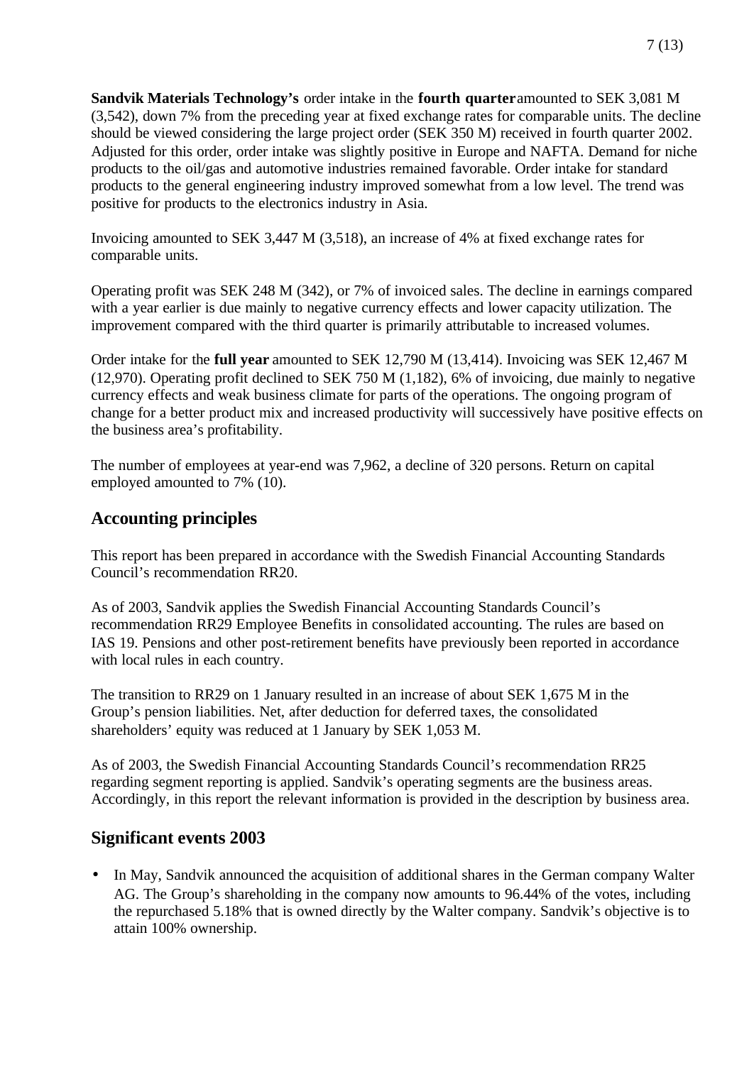**Sandvik Materials Technology's** order intake in the **fourth quarter** amounted to SEK 3,081 M (3,542), down 7% from the preceding year at fixed exchange rates for comparable units. The decline should be viewed considering the large project order (SEK 350 M) received in fourth quarter 2002. Adjusted for this order, order intake was slightly positive in Europe and NAFTA. Demand for niche products to the oil/gas and automotive industries remained favorable. Order intake for standard products to the general engineering industry improved somewhat from a low level. The trend was positive for products to the electronics industry in Asia.

Invoicing amounted to SEK 3,447 M (3,518), an increase of 4% at fixed exchange rates for comparable units.

Operating profit was SEK 248 M (342), or 7% of invoiced sales. The decline in earnings compared with a year earlier is due mainly to negative currency effects and lower capacity utilization. The improvement compared with the third quarter is primarily attributable to increased volumes.

Order intake for the **full year** amounted to SEK 12,790 M (13,414). Invoicing was SEK 12,467 M (12,970). Operating profit declined to SEK 750 M (1,182), 6% of invoicing, due mainly to negative currency effects and weak business climate for parts of the operations. The ongoing program of change for a better product mix and increased productivity will successively have positive effects on the business area's profitability.

The number of employees at year-end was 7,962, a decline of 320 persons. Return on capital employed amounted to 7% (10).

### **Accounting principles**

This report has been prepared in accordance with the Swedish Financial Accounting Standards Council's recommendation RR20.

As of 2003, Sandvik applies the Swedish Financial Accounting Standards Council's recommendation RR29 Employee Benefits in consolidated accounting. The rules are based on IAS 19. Pensions and other post-retirement benefits have previously been reported in accordance with local rules in each country.

The transition to RR29 on 1 January resulted in an increase of about SEK 1,675 M in the Group's pension liabilities. Net, after deduction for deferred taxes, the consolidated shareholders' equity was reduced at 1 January by SEK 1,053 M.

As of 2003, the Swedish Financial Accounting Standards Council's recommendation RR25 regarding segment reporting is applied. Sandvik's operating segments are the business areas. Accordingly, in this report the relevant information is provided in the description by business area.

### **Significant events 2003**

• In May, Sandvik announced the acquisition of additional shares in the German company Walter AG. The Group's shareholding in the company now amounts to 96.44% of the votes, including the repurchased 5.18% that is owned directly by the Walter company. Sandvik's objective is to attain 100% ownership.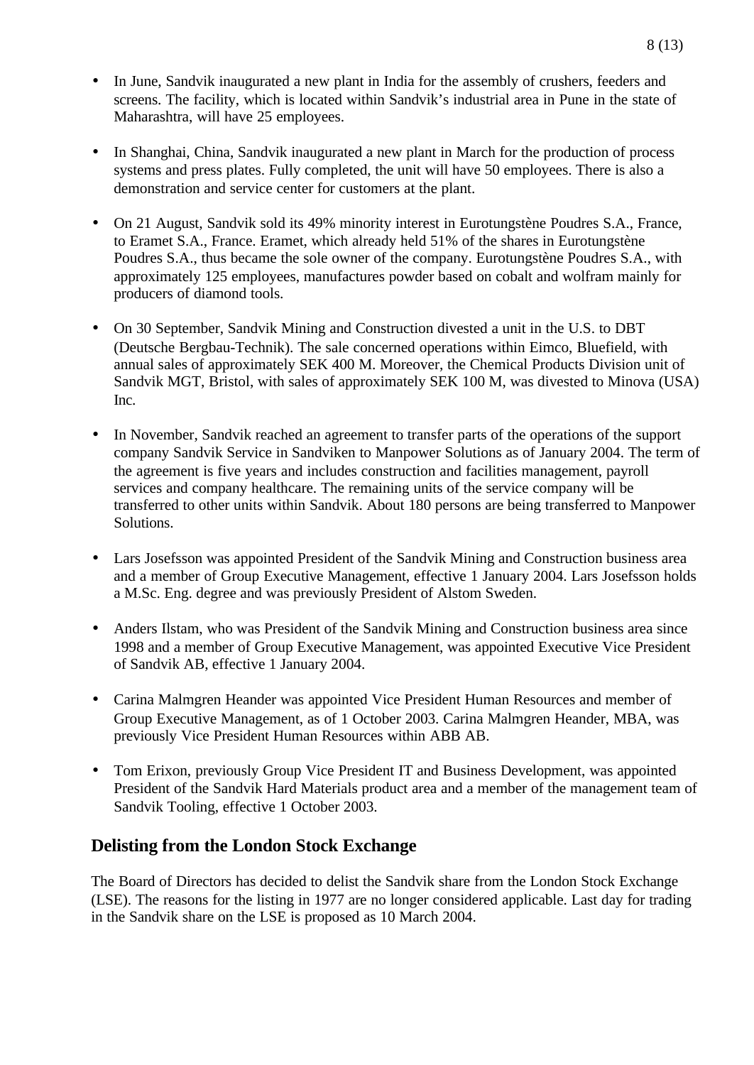- In June, Sandvik inaugurated a new plant in India for the assembly of crushers, feeders and screens. The facility, which is located within Sandvik's industrial area in Pune in the state of Maharashtra, will have 25 employees.
- In Shanghai, China, Sandvik inaugurated a new plant in March for the production of process systems and press plates. Fully completed, the unit will have 50 employees. There is also a demonstration and service center for customers at the plant.
- On 21 August, Sandvik sold its 49% minority interest in Eurotungstène Poudres S.A., France, to Eramet S.A., France. Eramet, which already held 51% of the shares in Eurotungstène Poudres S.A., thus became the sole owner of the company. Eurotungstène Poudres S.A., with approximately 125 employees, manufactures powder based on cobalt and wolfram mainly for producers of diamond tools.
- On 30 September, Sandvik Mining and Construction divested a unit in the U.S. to DBT (Deutsche Bergbau-Technik). The sale concerned operations within Eimco, Bluefield, with annual sales of approximately SEK 400 M. Moreover, the Chemical Products Division unit of Sandvik MGT, Bristol, with sales of approximately SEK 100 M, was divested to Minova (USA) Inc.
- In November, Sandvik reached an agreement to transfer parts of the operations of the support company Sandvik Service in Sandviken to Manpower Solutions as of January 2004. The term of the agreement is five years and includes construction and facilities management, payroll services and company healthcare. The remaining units of the service company will be transferred to other units within Sandvik. About 180 persons are being transferred to Manpower Solutions.
- Lars Josefsson was appointed President of the Sandvik Mining and Construction business area and a member of Group Executive Management, effective 1 January 2004. Lars Josefsson holds a M.Sc. Eng. degree and was previously President of Alstom Sweden.
- Anders Ilstam, who was President of the Sandvik Mining and Construction business area since 1998 and a member of Group Executive Management, was appointed Executive Vice President of Sandvik AB, effective 1 January 2004.
- Carina Malmgren Heander was appointed Vice President Human Resources and member of Group Executive Management, as of 1 October 2003. Carina Malmgren Heander, MBA, was previously Vice President Human Resources within ABB AB.
- Tom Erixon, previously Group Vice President IT and Business Development, was appointed President of the Sandvik Hard Materials product area and a member of the management team of Sandvik Tooling, effective 1 October 2003.

### **Delisting from the London Stock Exchange**

The Board of Directors has decided to delist the Sandvik share from the London Stock Exchange (LSE). The reasons for the listing in 1977 are no longer considered applicable. Last day for trading in the Sandvik share on the LSE is proposed as 10 March 2004.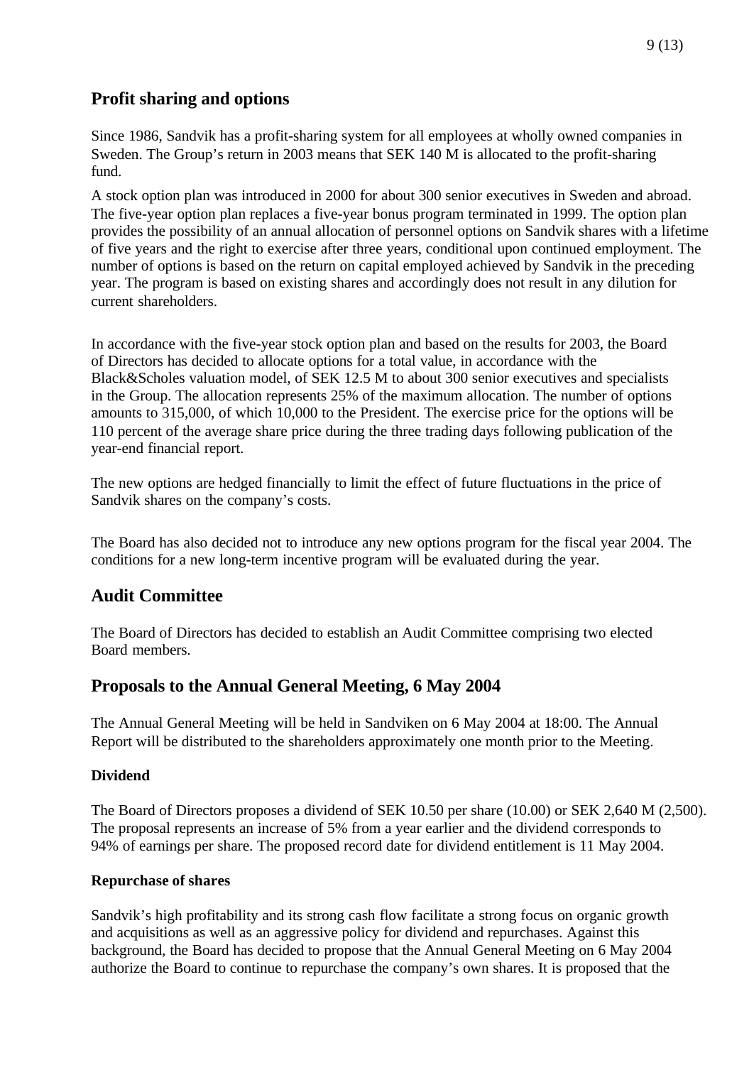### **Profit sharing and options**

Since 1986, Sandvik has a profit-sharing system for all employees at wholly owned companies in Sweden. The Group's return in 2003 means that SEK 140 M is allocated to the profit-sharing fund.

A stock option plan was introduced in 2000 for about 300 senior executives in Sweden and abroad. The five-year option plan replaces a five-year bonus program terminated in 1999. The option plan provides the possibility of an annual allocation of personnel options on Sandvik shares with a lifetime of five years and the right to exercise after three years, conditional upon continued employment. The number of options is based on the return on capital employed achieved by Sandvik in the preceding year. The program is based on existing shares and accordingly does not result in any dilution for current shareholders.

In accordance with the five-year stock option plan and based on the results for 2003, the Board of Directors has decided to allocate options for a total value, in accordance with the Black&Scholes valuation model, of SEK 12.5 M to about 300 senior executives and specialists in the Group. The allocation represents 25% of the maximum allocation. The number of options amounts to 315,000, of which 10,000 to the President. The exercise price for the options will be 110 percent of the average share price during the three trading days following publication of the year-end financial report.

The new options are hedged financially to limit the effect of future fluctuations in the price of Sandvik shares on the company's costs.

The Board has also decided not to introduce any new options program for the fiscal year 2004. The conditions for a new long-term incentive program will be evaluated during the year.

# **Audit Committee**

The Board of Directors has decided to establish an Audit Committee comprising two elected Board members.

### **Proposals to the Annual General Meeting, 6 May 2004**

The Annual General Meeting will be held in Sandviken on 6 May 2004 at 18:00. The Annual Report will be distributed to the shareholders approximately one month prior to the Meeting.

#### **Dividend**

The Board of Directors proposes a dividend of SEK 10.50 per share (10.00) or SEK 2,640 M (2,500). The proposal represents an increase of 5% from a year earlier and the dividend corresponds to 94% of earnings per share. The proposed record date for dividend entitlement is 11 May 2004.

#### **Repurchase of shares**

Sandvik's high profitability and its strong cash flow facilitate a strong focus on organic growth and acquisitions as well as an aggressive policy for dividend and repurchases. Against this background, the Board has decided to propose that the Annual General Meeting on 6 May 2004 authorize the Board to continue to repurchase the company's own shares. It is proposed that the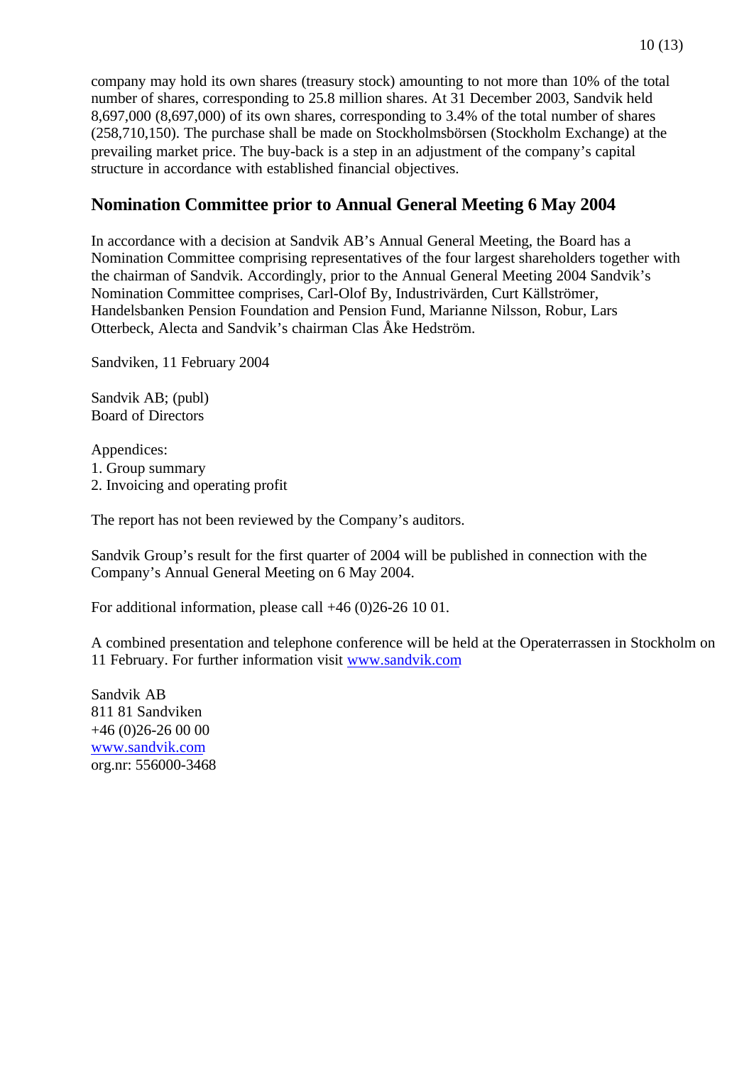company may hold its own shares (treasury stock) amounting to not more than 10% of the total number of shares, corresponding to 25.8 million shares. At 31 December 2003, Sandvik held 8,697,000 (8,697,000) of its own shares, corresponding to 3.4% of the total number of shares (258,710,150). The purchase shall be made on Stockholmsbörsen (Stockholm Exchange) at the prevailing market price. The buy-back is a step in an adjustment of the company's capital structure in accordance with established financial objectives.

## **Nomination Committee prior to Annual General Meeting 6 May 2004**

In accordance with a decision at Sandvik AB's Annual General Meeting, the Board has a Nomination Committee comprising representatives of the four largest shareholders together with the chairman of Sandvik. Accordingly, prior to the Annual General Meeting 2004 Sandvik's Nomination Committee comprises, Carl-Olof By, Industrivärden, Curt Källströmer, Handelsbanken Pension Foundation and Pension Fund, Marianne Nilsson, Robur, Lars Otterbeck, Alecta and Sandvik's chairman Clas Åke Hedström.

Sandviken, 11 February 2004

Sandvik AB; (publ) Board of Directors

Appendices: 1. Group summary 2. Invoicing and operating profit

The report has not been reviewed by the Company's auditors.

Sandvik Group's result for the first quarter of 2004 will be published in connection with the Company's Annual General Meeting on 6 May 2004.

For additional information, please call +46 (0)26-26 10 01.

A combined presentation and telephone conference will be held at the Operaterrassen in Stockholm on 11 February. For further information visit www.sandvik.com

Sandvik AB 811 81 Sandviken  $+46(0)26-260000$ www.sandvik.com org.nr: 556000-3468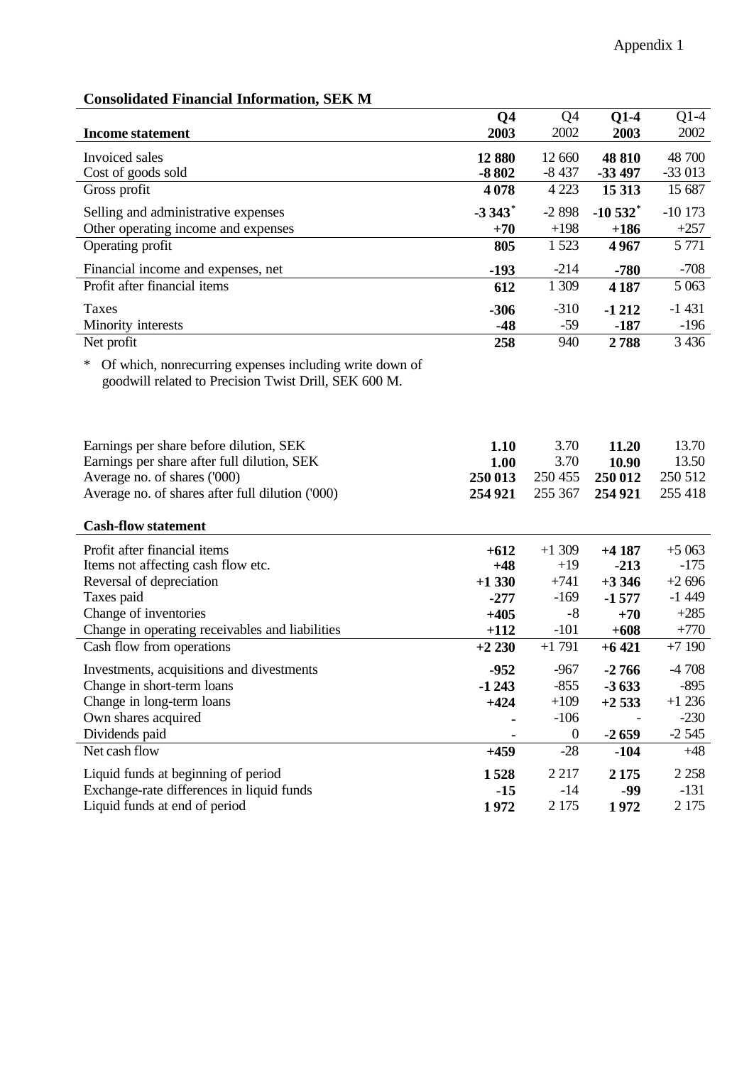| <b>Consolidated Financial Information, SEK M</b> |  |  |  |  |
|--------------------------------------------------|--|--|--|--|
|--------------------------------------------------|--|--|--|--|

| <b>Income statement</b>                                                          | Q <sub>4</sub><br>2003 | Q4<br>2002                | $Q1-4$<br>2003     | $Q1-4$<br>2002     |
|----------------------------------------------------------------------------------|------------------------|---------------------------|--------------------|--------------------|
|                                                                                  |                        |                           |                    |                    |
| Invoiced sales<br>Cost of goods sold                                             | 12 880<br>$-8802$      | 12 660<br>$-8437$         | 48 810<br>$-33497$ | 48 700<br>$-33013$ |
| Gross profit                                                                     | 4078                   | 4 2 2 3                   | 15 313             | 15 687             |
| Selling and administrative expenses                                              | $-3343$ <sup>*</sup>   | $-2898$                   | $-10532$ *         | $-10173$           |
| Other operating income and expenses                                              | $+70$                  | $+198$                    | $+186$             | $+257$             |
| Operating profit                                                                 | 805                    | 1 5 23                    | 4967               | 5 7 7 1            |
| Financial income and expenses, net                                               | $-193$                 | $-214$                    | $-780$             | $-708$             |
| Profit after financial items                                                     | 612                    | 1 309                     | 4 1 8 7            | 5 0 63             |
| Taxes                                                                            | $-306$                 | $-310$                    | $-1212$            | $-1431$            |
| Minority interests                                                               | $-48$                  | $-59$                     | $-187$             | $-196$             |
| Net profit                                                                       | 258                    | 940                       | 2788               | 3 4 3 6            |
| Of which, nonrecurring expenses including write down of<br>$*$                   |                        |                           |                    |                    |
| goodwill related to Precision Twist Drill, SEK 600 M.                            |                        |                           |                    |                    |
|                                                                                  |                        |                           |                    |                    |
|                                                                                  |                        |                           |                    |                    |
| Earnings per share before dilution, SEK                                          | 1.10                   | 3.70                      | 11.20              | 13.70              |
| Earnings per share after full dilution, SEK<br>Average no. of shares ('000)      | 1.00<br>250 013        | 3.70<br>250 455           | 10.90<br>250 012   | 13.50<br>250 512   |
| Average no. of shares after full dilution ('000)                                 | 254 921                | 255 367                   | 254 921            | 255 418            |
|                                                                                  |                        |                           |                    |                    |
| <b>Cash-flow statement</b>                                                       |                        |                           |                    |                    |
| Profit after financial items                                                     | $+612$                 | $+1309$                   | $+4187$            | $+5063$            |
| Items not affecting cash flow etc.                                               | $+48$                  | $+19$                     | $-213$             | $-175$             |
| Reversal of depreciation                                                         | $+1330$                | $+741$                    | $+3346$            | $+2696$            |
| Taxes paid<br>Change of inventories                                              | $-277$<br>$+405$       | $-169$<br>$-8$            | $-1577$<br>$+70$   | $-1449$<br>$+285$  |
| Change in operating receivables and liabilities                                  | $+112$                 | $-101$                    | $+608$             | $+770$             |
| Cash flow from operations                                                        | $+2230$                | $+1791$                   | $+6421$            | $+7190$            |
| Investments, acquisitions and divestments                                        | $-952$                 | $-967$                    | $-2766$            | $-4708$            |
| Change in short-term loans                                                       | $-1243$                | $-855$                    | $-3633$            | $-895$             |
| Change in long-term loans                                                        | $+424$                 | $+109$                    | $+2533$            | $+1236$            |
| Own shares acquired                                                              |                        | $-106$                    |                    | $-230$             |
| Dividends paid<br>Net cash flow                                                  |                        | $\boldsymbol{0}$<br>$-28$ | $-2659$            | $-2545$<br>$+48$   |
|                                                                                  | $+459$                 |                           | $-104$             |                    |
| Liquid funds at beginning of period<br>Exchange-rate differences in liquid funds | 1528<br>$-15$          | 2 2 1 7<br>$-14$          | 2 1 7 5<br>-99     | 2 2 5 8<br>$-131$  |
| Liquid funds at end of period                                                    | 1972                   | 2 1 7 5                   | 1972               | 2 1 7 5            |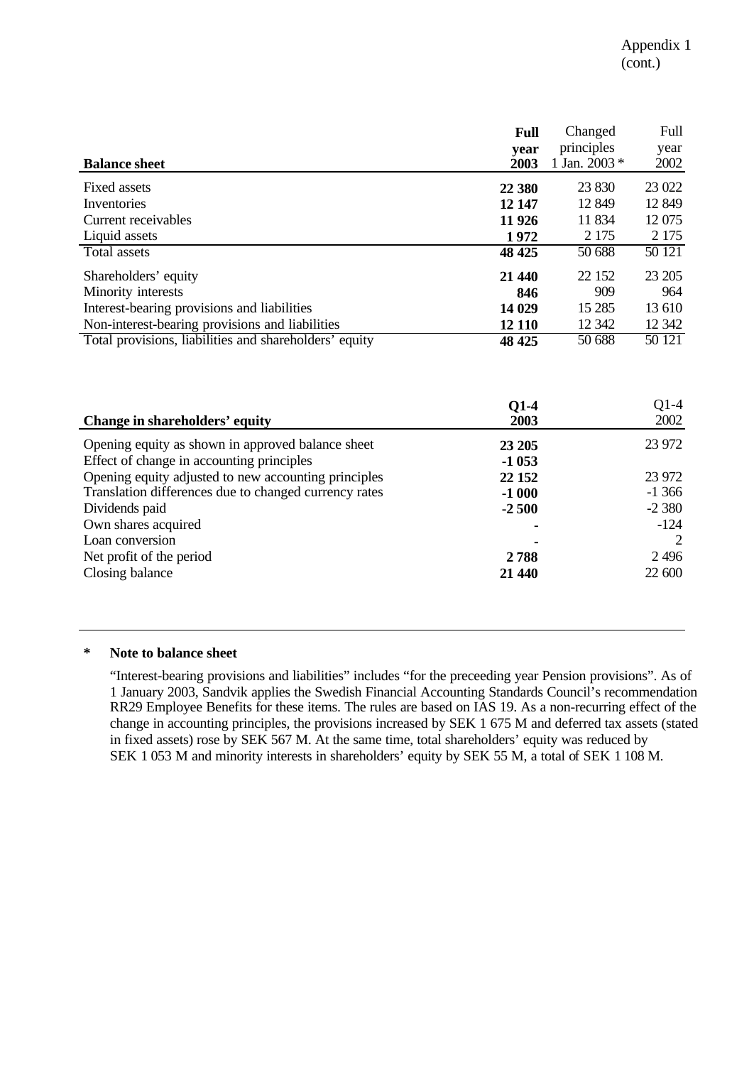|                                                        | <b>Full</b> | Changed       | Full    |
|--------------------------------------------------------|-------------|---------------|---------|
|                                                        | year        | principles    | year    |
| <b>Balance sheet</b>                                   | 2003        | 1 Jan. 2003 * | 2002    |
| Fixed assets                                           | 22 380      | 23 830        | 23 022  |
| Inventories                                            | 12 147      | 12 849        | 12 849  |
| Current receivables                                    | 11 926      | 11 834        | 12 075  |
| Liquid assets                                          | 1972        | 2 1 7 5       | 2 1 7 5 |
| Total assets                                           | 48 4 25     | 50 688        | 50 121  |
| Shareholders' equity                                   | 21 440      | 22 152        | 23 205  |
| Minority interests                                     | 846         | 909           | 964     |
| Interest-bearing provisions and liabilities            | 14 029      | 15 2 85       | 13 610  |
| Non-interest-bearing provisions and liabilities        | 12 110      | 12 342        | 12 3 42 |
| Total provisions, liabilities and shareholders' equity | 48 4 25     | 50 688        | 50 121  |

| Change in shareholders' equity                        | $Q1-4$<br>2003 | $Q1-4$<br>2002 |
|-------------------------------------------------------|----------------|----------------|
| Opening equity as shown in approved balance sheet     | 23 20 5        | 23 972         |
| Effect of change in accounting principles             | $-1053$        |                |
| Opening equity adjusted to new accounting principles  | 22 15 2        | 23 972         |
| Translation differences due to changed currency rates | $-1000$        | $-1366$        |
| Dividends paid                                        | $-2500$        | $-2380$        |
| Own shares acquired                                   |                | $-124$         |
| Loan conversion                                       |                |                |
| Net profit of the period                              | 2788           | 2496           |
| Closing balance                                       | 21 440         | 22 600         |

#### **\* Note to balance sheet**

"Interest-bearing provisions and liabilities" includes "for the preceeding year Pension provisions". As of 1 January 2003, Sandvik applies the Swedish Financial Accounting Standards Council's recommendation RR29 Employee Benefits for these items. The rules are based on IAS 19. As a non-recurring effect of the change in accounting principles, the provisions increased by SEK 1 675 M and deferred tax assets (stated in fixed assets) rose by SEK 567 M. At the same time, total shareholders' equity was reduced by SEK 1 053 M and minority interests in shareholders' equity by SEK 55 M, a total of SEK 1 108 M.